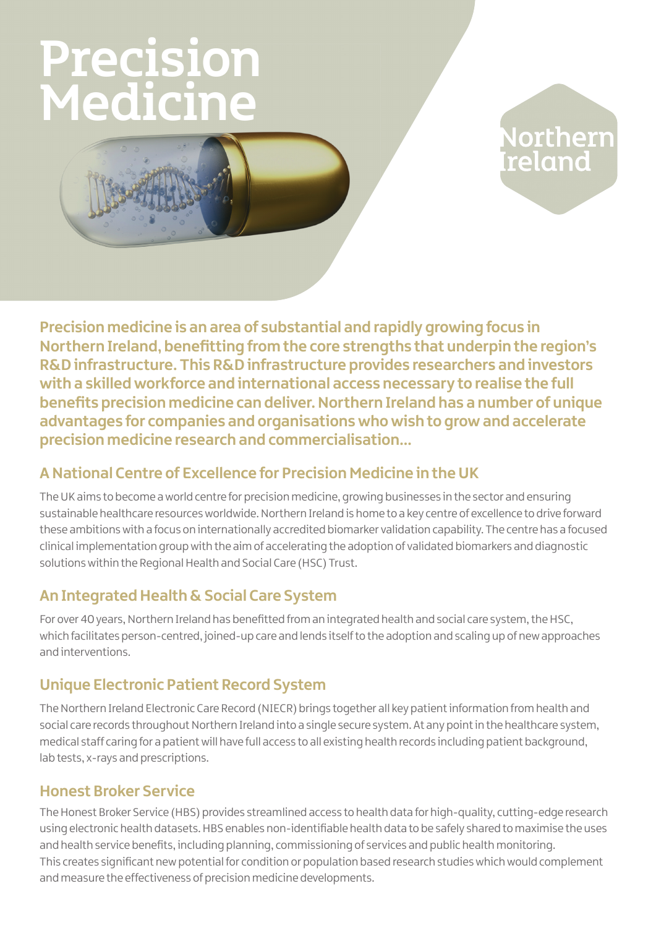# Precision Medicine



# **Northern<br>reland**

**Precision medicine is an area of substantial and rapidly growing focus in Northern Ireland, benefitting from the core strengths that underpin the region's R&D infrastructure. This R&D infrastructure provides researchers and investors with a skilled workforce and international access necessary to realise the full benefits precision medicine can deliver. Northern Ireland has a number of unique advantages for companies and organisations who wish to grow and accelerate precision medicine research and commercialisation…**

## **A National Centre of Excellence for Precision Medicine in the UK**

The UK aims to become a world centre for precision medicine, growing businesses in the sector and ensuring sustainable healthcare resources worldwide. Northern Ireland is home to a key centre of excellence to drive forward these ambitions with a focus on internationally accredited biomarker validation capability. The centre has a focused clinical implementation group with the aim of accelerating the adoption of validated biomarkers and diagnostic solutions within the Regional Health and Social Care (HSC) Trust.

### **An Integrated Health & Social Care System**

For over 40 years, Northern Ireland has benefitted from an integrated health and social care system, the HSC, which facilitates person-centred, joined-up care and lends itself to the adoption and scaling up of new approaches and interventions.

# **Unique Electronic Patient Record System**

The Northern Ireland Electronic Care Record (NIECR) brings together all key patient information from health and social care records throughout Northern Ireland into a single secure system. At any point in the healthcare system, medical staff caring for a patient will have full access to all existing health records including patient background, lab tests, x-rays and prescriptions.

#### **Honest Broker Service**

The Honest Broker Service (HBS) provides streamlined access to health data for high-quality, cutting-edge research using electronic health datasets. HBS enables non-identifiable health data to be safely shared to maximise the uses and health service benefits, including planning, commissioning of services and public health monitoring. This creates significant new potential for condition or population based research studies which would complement and measure the effectiveness of precision medicine developments.